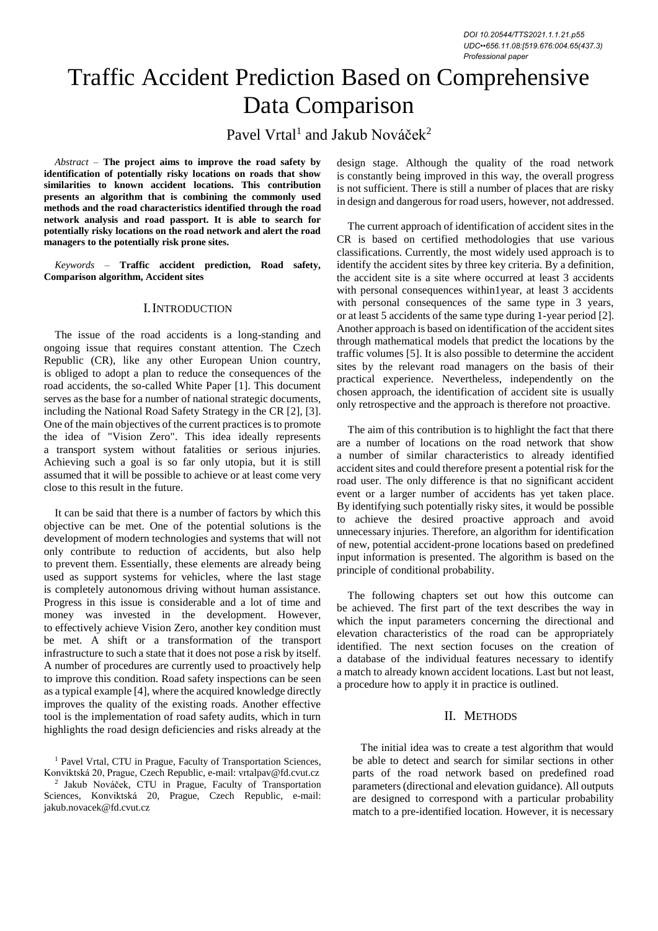*DOI 10.20544/TTS2021.1.1.21.p55 UDC••656.11.08:[519.676:004.65(437.3) Professional paper*

# Traffic Accident Prediction Based on Comprehensive Data Comparison

Pavel Vrtal<sup>1</sup> and Jakub Nováček<sup>2</sup>

*Abstract –* **The project aims to improve the road safety by identification of potentially risky locations on roads that show similarities to known accident locations. This contribution presents an algorithm that is combining the commonly used methods and the road characteristics identified through the road network analysis and road passport. It is able to search for potentially risky locations on the road network and alert the road managers to the potentially risk prone sites.**

*Keywords –* **Traffic accident prediction, Road safety, Comparison algorithm, Accident sites**

# I. INTRODUCTION

The issue of the road accidents is a long-standing and ongoing issue that requires constant attention. The Czech Republic (CR), like any other European Union country, is obliged to adopt a plan to reduce the consequences of the road accidents, the so-called White Paper [1]. This document serves as the base for a number of national strategic documents, including the National Road Safety Strategy in the CR [2], [3]. One of the main objectives of the current practices is to promote the idea of "Vision Zero". This idea ideally represents a transport system without fatalities or serious injuries. Achieving such a goal is so far only utopia, but it is still assumed that it will be possible to achieve or at least come very close to this result in the future.

It can be said that there is a number of factors by which this objective can be met. One of the potential solutions is the development of modern technologies and systems that will not only contribute to reduction of accidents, but also help to prevent them. Essentially, these elements are already being used as support systems for vehicles, where the last stage is completely autonomous driving without human assistance. Progress in this issue is considerable and a lot of time and money was invested in the development. However, to effectively achieve Vision Zero, another key condition must be met. A shift or a transformation of the transport infrastructure to such a state that it does not pose a risk by itself. A number of procedures are currently used to proactively help to improve this condition. Road safety inspections can be seen as a typical example [4], where the acquired knowledge directly improves the quality of the existing roads. Another effective tool is the implementation of road safety audits, which in turn highlights the road design deficiencies and risks already at the

<sup>1</sup> Pavel Vrtal, CTU in Prague, Faculty of Transportation Sciences, Konviktská 20, Prague, Czech Republic, e-mail: vrtalpav@fd.cvut.cz

2 Jakub Nováček, CTU in Prague, Faculty of Transportation Sciences, Konviktská 20, Prague, Czech Republic, e-mail: jakub.novacek@fd.cvut.cz

design stage. Although the quality of the road network is constantly being improved in this way, the overall progress is not sufficient. There is still a number of places that are risky in design and dangerous for road users, however, not addressed.

The current approach of identification of accident sites in the CR is based on certified methodologies that use various classifications. Currently, the most widely used approach is to identify the accident sites by three key criteria. By a definition, the accident site is a site where occurred at least 3 accidents with personal consequences within1year, at least 3 accidents with personal consequences of the same type in 3 years, or at least 5 accidents of the same type during 1-year period [2]. Another approach is based on identification of the accident sites through mathematical models that predict the locations by the traffic volumes [5]. It is also possible to determine the accident sites by the relevant road managers on the basis of their practical experience. Nevertheless, independently on the chosen approach, the identification of accident site is usually only retrospective and the approach is therefore not proactive.

The aim of this contribution is to highlight the fact that there are a number of locations on the road network that show a number of similar characteristics to already identified accident sites and could therefore present a potential risk for the road user. The only difference is that no significant accident event or a larger number of accidents has yet taken place. By identifying such potentially risky sites, it would be possible to achieve the desired proactive approach and avoid unnecessary injuries. Therefore, an algorithm for identification of new, potential accident-prone locations based on predefined input information is presented. The algorithm is based on the principle of conditional probability.

The following chapters set out how this outcome can be achieved. The first part of the text describes the way in which the input parameters concerning the directional and elevation characteristics of the road can be appropriately identified. The next section focuses on the creation of a database of the individual features necessary to identify a match to already known accident locations. Last but not least, a procedure how to apply it in practice is outlined.

# II. METHODS

 The initial idea was to create a test algorithm that would be able to detect and search for similar sections in other parts of the road network based on predefined road parameters (directional and elevation guidance). All outputs are designed to correspond with a particular probability match to a pre-identified location. However, it is necessary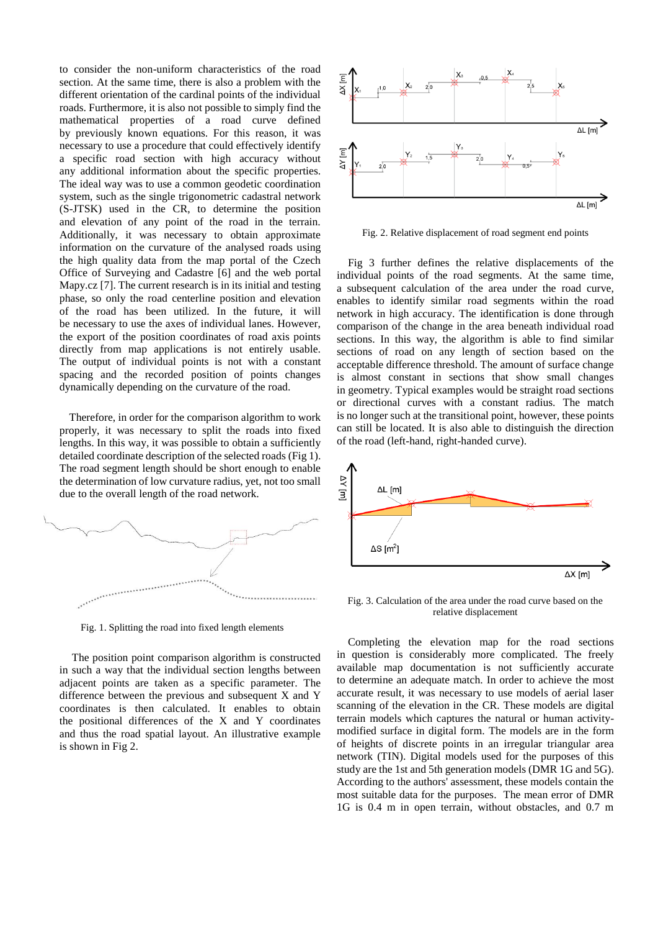to consider the non-uniform characteristics of the road section. At the same time, there is also a problem with the different orientation of the cardinal points of the individual roads. Furthermore, it is also not possible to simply find the mathematical properties of a road curve defined by previously known equations. For this reason, it was necessary to use a procedure that could effectively identify a specific road section with high accuracy without any additional information about the specific properties. The ideal way was to use a common geodetic coordination system, such as the single trigonometric cadastral network (S-JTSK) used in the CR, to determine the position and elevation of any point of the road in the terrain. Additionally, it was necessary to obtain approximate information on the curvature of the analysed roads using the high quality data from the map portal of the Czech Office of Surveying and Cadastre [6] and the web portal Mapy.cz [7]. The current research is in its initial and testing phase, so only the road centerline position and elevation of the road has been utilized. In the future, it will be necessary to use the axes of individual lanes. However, the export of the position coordinates of road axis points directly from map applications is not entirely usable. The output of individual points is not with a constant spacing and the recorded position of points changes dynamically depending on the curvature of the road.

 Therefore, in order for the comparison algorithm to work properly, it was necessary to split the roads into fixed lengths. In this way, it was possible to obtain a sufficiently detailed coordinate description of the selected roads (Fig 1). The road segment length should be short enough to enable the determination of low curvature radius, yet, not too small due to the overall length of the road network.



Fig. 1. Splitting the road into fixed length elements

 The position point comparison algorithm is constructed in such a way that the individual section lengths between adjacent points are taken as a specific parameter. The difference between the previous and subsequent X and Y coordinates is then calculated. It enables to obtain the positional differences of the X and Y coordinates and thus the road spatial layout. An illustrative example is shown in Fig 2.



Fig. 2. Relative displacement of road segment end points

 Fig 3 further defines the relative displacements of the individual points of the road segments. At the same time, a subsequent calculation of the area under the road curve, enables to identify similar road segments within the road network in high accuracy. The identification is done through comparison of the change in the area beneath individual road sections. In this way, the algorithm is able to find similar sections of road on any length of section based on the acceptable difference threshold. The amount of surface change is almost constant in sections that show small changes in geometry. Typical examples would be straight road sections or directional curves with a constant radius. The match is no longer such at the transitional point, however, these points can still be located. It is also able to distinguish the direction of the road (left-hand, right-handed curve).



Fig. 3. Calculation of the area under the road curve based on the relative displacement

 Completing the elevation map for the road sections in question is considerably more complicated. The freely available map documentation is not sufficiently accurate to determine an adequate match. In order to achieve the most accurate result, it was necessary to use models of aerial laser scanning of the elevation in the CR. These models are digital terrain models which captures the natural or human activitymodified surface in digital form. The models are in the form of heights of discrete points in an irregular triangular area network (TIN). Digital models used for the purposes of this study are the 1st and 5th generation models (DMR 1G and 5G). According to the authors' assessment, these models contain the most suitable data for the purposes. The mean error of DMR 1G is 0.4 m in open terrain, without obstacles, and 0.7 m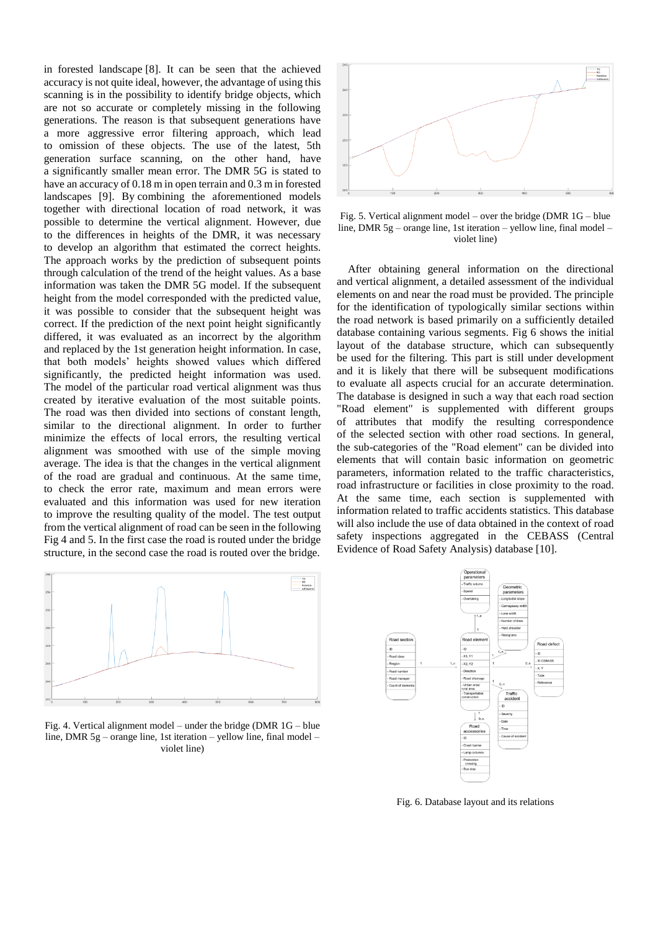in forested landscape [8]. It can be seen that the achieved accuracy is not quite ideal, however, the advantage of using this scanning is in the possibility to identify bridge objects, which are not so accurate or completely missing in the following generations. The reason is that subsequent generations have a more aggressive error filtering approach, which lead to omission of these objects. The use of the latest, 5th generation surface scanning, on the other hand, have a significantly smaller mean error. The DMR 5G is stated to have an accuracy of 0.18 m in open terrain and 0.3 m in forested landscapes [9]. By combining the aforementioned models together with directional location of road network, it was possible to determine the vertical alignment. However, due to the differences in heights of the DMR, it was necessary to develop an algorithm that estimated the correct heights. The approach works by the prediction of subsequent points through calculation of the trend of the height values. As a base information was taken the DMR 5G model. If the subsequent height from the model corresponded with the predicted value, it was possible to consider that the subsequent height was correct. If the prediction of the next point height significantly differed, it was evaluated as an incorrect by the algorithm and replaced by the 1st generation height information. In case, that both models' heights showed values which differed significantly, the predicted height information was used. The model of the particular road vertical alignment was thus created by iterative evaluation of the most suitable points. The road was then divided into sections of constant length, similar to the directional alignment. In order to further minimize the effects of local errors, the resulting vertical alignment was smoothed with use of the simple moving average. The idea is that the changes in the vertical alignment of the road are gradual and continuous. At the same time, to check the error rate, maximum and mean errors were evaluated and this information was used for new iteration to improve the resulting quality of the model. The test output from the vertical alignment of road can be seen in the following Fig 4 and 5. In the first case the road is routed under the bridge structure, in the second case the road is routed over the bridge.



Fig. 4. Vertical alignment model – under the bridge (DMR 1G – blue line, DMR 5g – orange line, 1st iteration – yellow line, final model – violet line)



Fig. 5. Vertical alignment model – over the bridge (DMR 1G – blue line, DMR 5g – orange line, 1st iteration – yellow line, final model – violet line)

 After obtaining general information on the directional and vertical alignment, a detailed assessment of the individual elements on and near the road must be provided. The principle for the identification of typologically similar sections within the road network is based primarily on a sufficiently detailed database containing various segments. Fig 6 shows the initial layout of the database structure, which can subsequently be used for the filtering. This part is still under development and it is likely that there will be subsequent modifications to evaluate all aspects crucial for an accurate determination. The database is designed in such a way that each road section "Road element" is supplemented with different groups of attributes that modify the resulting correspondence of the selected section with other road sections. In general, the sub-categories of the "Road element" can be divided into elements that will contain basic information on geometric parameters, information related to the traffic characteristics, road infrastructure or facilities in close proximity to the road. At the same time, each section is supplemented with information related to traffic accidents statistics. This database will also include the use of data obtained in the context of road safety inspections aggregated in the CEBASS (Central Evidence of Road Safety Analysis) database [10].



Fig. 6. Database layout and its relations